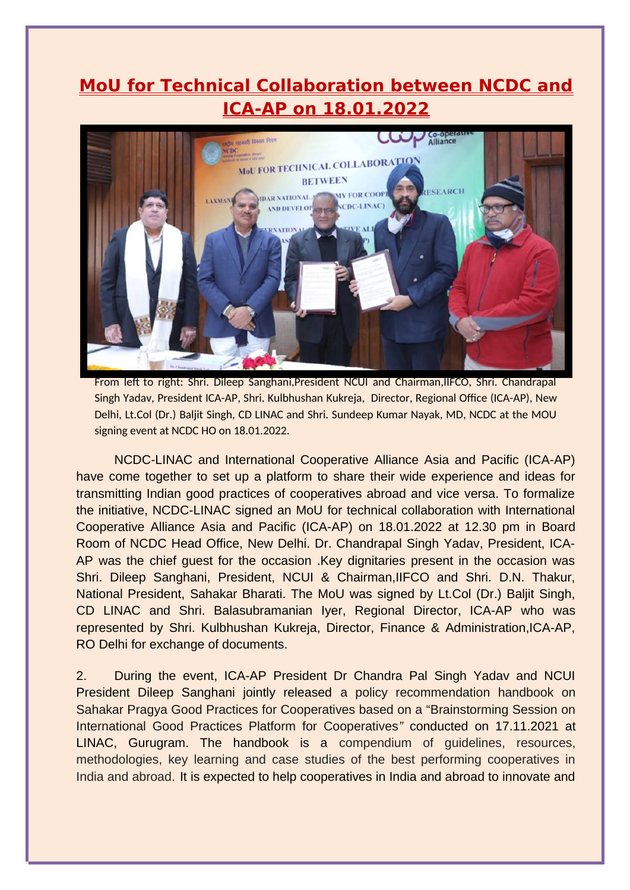## **MoU for Technical Collaboration between NCDC and ICA-AP on 18.01.2022**



From left to right: Shri. Dileep Sanghani,President NCUI and Chairman,IIFCO, Shri. Chandrapal Singh Yadav, President ICA-AP, Shri. Kulbhushan Kukreja, Director, Regional Office (ICA-AP), New Delhi, Lt.Col (Dr.) Baljit Singh, CD LINAC and Shri. Sundeep Kumar Nayak, MD, NCDC at the MOU signing event at NCDC HO on 18.01.2022.

NCDC-LINAC and International Cooperative Alliance Asia and Pacific (ICA-AP) have come together to set up a platform to share their wide experience and ideas for transmitting Indian good practices of cooperatives abroad and vice versa. To formalize the initiative, NCDC-LINAC signed an MoU for technical collaboration with International Cooperative Alliance Asia and Pacific (ICA-AP) on 18.01.2022 at 12.30 pm in Board Room of NCDC Head Office, New Delhi. Dr. Chandrapal Singh Yadav, President, ICA-AP was the chief guest for the occasion .Key dignitaries present in the occasion was Shri. Dileep Sanghani, President, NCUI & Chairman,IIFCO and Shri. D.N. Thakur, National President, Sahakar Bharati. The MoU was signed by Lt.Col (Dr.) Baljit Singh, CD LINAC and Shri. Balasubramanian Iyer, Regional Director, ICA-AP who was represented by Shri. Kulbhushan Kukreja, Director, Finance & Administration,ICA-AP, RO Delhi for exchange of documents.

2. During the event, ICA-AP President Dr Chandra Pal Singh Yadav and NCUI President Dileep Sanghani jointly released a policy recommendation handbook on Sahakar Pragya Good Practices for Cooperatives based on a "Brainstorming Session on International Good Practices Platform for Cooperatives*"* conducted on 17.11.2021 at LINAC, Gurugram. The handbook is a compendium of guidelines, resources, methodologies, key learning and case studies of the best performing cooperatives in India and abroad. It is expected to help cooperatives in India and abroad to innovate and